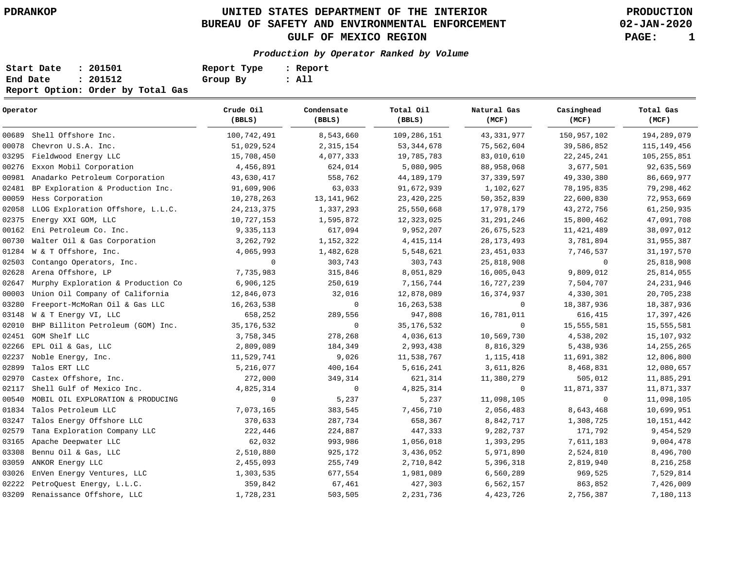# **UNITED STATES DEPARTMENT OF THE INTERIOR PDRANKOP PRODUCTION BUREAU OF SAFETY AND ENVIRONMENTAL ENFORCEMENT GULF OF MEXICO REGION PAGE: 1**

**02-JAN-2020**

### **Production by Operator Ranked by Volume**

| Start Date | : 201501                          | Report Type | : Report |
|------------|-----------------------------------|-------------|----------|
| End Date   | : 201512                          | Group By    | : All    |
|            | Report Option: Order by Total Gas |             |          |

### 00689 00078 03295 Fieldwood Energy LLC 00276 00981 02481 00059 02058 LLOG Exploration Offshore, L.L.C. 02375 00162 Eni Petroleum Co. Inc. 00730 Walter Oil & Gas Corporation 01284 W & T Offshore, Inc. 02503 02628 02647 00003 03280 03148 02010 02451 02266 EPL Oil & Gas, LLC 02237 02899 02970 02117 00540 01834 Talos Petroleum LLC 03247 02579 03165 03308 03059 03026 02222 03209 Shell Offshore Inc. Chevron U.S.A. Inc. Exxon Mobil Corporation Anadarko Petroleum Corporation BP Exploration & Production Inc. Hess Corporation Energy XXI GOM, LLC Contango Operators, Inc. Arena Offshore, LP Murphy Exploration & Production Co Union Oil Company of California Freeport-McMoRan Oil & Gas LLC W & T Energy VI, LLC BHP Billiton Petroleum (GOM) Inc. GOM Shelf LLC Noble Energy, Inc. Talos ERT LLC Castex Offshore, Inc. Shell Gulf of Mexico Inc. MOBIL OIL EXPLORATION & PRODUCING Talos Energy Offshore LLC Tana Exploration Company LLC Apache Deepwater LLC Bennu Oil & Gas, LLC ANKOR Energy LLC EnVen Energy Ventures, LLC PetroQuest Energy, L.L.C. Renaissance Offshore, LLC **Operator** 100,742,491 51,029,524 15,708,450 4,456,891 43,630,417 91,609,906 10,278,263 24,213,375 10,727,153 9,335,113 3,262,792 4,065,993 **0**  7,735,983 6,906,125 12,846,073 16,263,538 658,252 35,176,532 3,758,345 2,809,089 11,529,741 5,216,077 272,000 4,825,314 **0**  7,073,165 370,633 222,446 62,032 2,510,880 2,455,093 1,303,535 359,842 1,728,231 **Crude Oil (BBLS)** 8,543,660 2,315,154 4,077,333 624,014 558,762 63,033 13,141,962 1,337,293 1,595,872 617,094 1,152,322 1,482,628 303,743 315,846 250,619 32,016 **0**  289,556 **0**  278,268 184,349 9,026 400,164 349,314 **0**  5,237 383,545 287,734 224,887 993,986 925,172 255,749 677,554 67,461 503,505 **Condensate (BBLS)** 109,286,151 53,344,678 19,785,783 5,080,905 44,189,179 91,672,939 23,420,225 25,550,668 12,323,025 9,952,207 4,415,114 5,548,621 303,743 8,051,829 7,156,744 12,878,089 16,263,538 947,808 35,176,532 4,036,613 2,993,438 11,538,767 5,616,241 621,314 4,825,314 5,237 7,456,710 658,367 447,333 1,056,018 3,436,052 2,710,842 1,981,089 427,303 2,231,736 **Total Oil (BBLS)** 43,331,977 75,562,604 83,010,610 88,958,068 37,339,597 1,102,627 50,352,839 17,978,179 31,291,246 26,675,523 28,173,493 23,451,033 25,818,908 16,005,043 16,727,239 16,374,937 **0**  16,781,011 **0**  10,569,730 8,816,329 1,115,418 3,611,826 11,380,279 **0**  11,098,105 2,056,483 8,842,717 9,282,737 1,393,295 5,971,890 5,396,318 6,560,289 6,562,157 4,423,726 **Natural Gas (MCF)** 150,957,102 39,586,852 22,245,241 3,677,501 49,330,380 78,195,835 22,600,830 43,272,756 15,800,462 11,421,489 3,781,894 7,746,537 **0**  9,809,012 7,504,707 4,330,301 18,387,936 616,415 15,555,581 4,538,202 5,438,936 11,691,382 8,468,831 505,012 11,871,337 **0**  8,643,468 1,308,725 171,792 7,611,183 2,524,810 2,819,940 969,525 863,852 2,756,387 **Casinghead (MCF)** 194,289,079 115,149,456 105,255,851 92,635,569 86,669,977 79,298,462 72,953,669 61,250,935 47,091,708 38,097,012 31,955,387 31,197,570 25,818,908 25,814,055 24,231,946 20,705,238 18,387,936 17,397,426 15,555,581 15,107,932 14,255,265 12,806,800 12,080,657 11,885,291 11,871,337 11,098,105 10,699,951 10,151,442 9,454,529 9,004,478 8,496,700 8,216,258 7,529,814 7,426,009 7,180,113 **Total Gas (MCF)**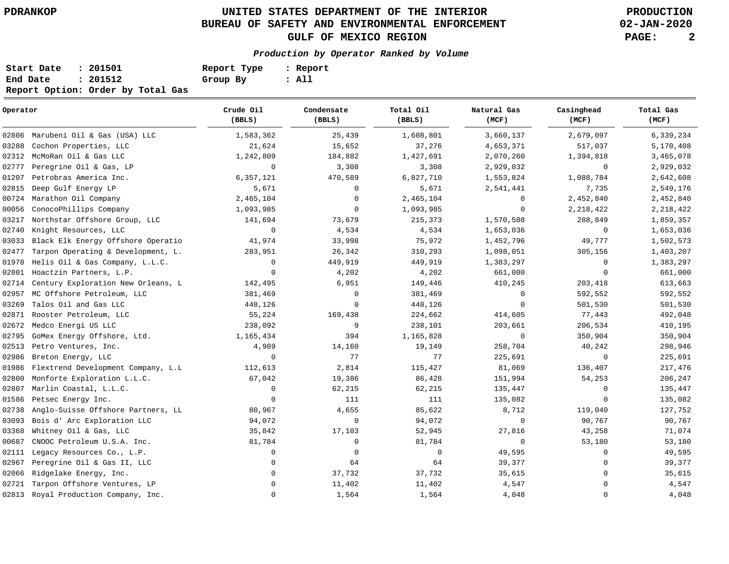# **UNITED STATES DEPARTMENT OF THE INTERIOR PDRANKOP PRODUCTION BUREAU OF SAFETY AND ENVIRONMENTAL ENFORCEMENT GULF OF MEXICO REGION PAGE: 2**

**02-JAN-2020**

### **Production by Operator Ranked by Volume**

| Start Date | : 201501                          | Report Type | : Report |
|------------|-----------------------------------|-------------|----------|
| End Date   | : 201512                          | Group By    | : All    |
|            | Report Option: Order by Total Gas |             |          |

| Operator |                                    | Crude Oil<br>(BBLS) | Condensate<br>(BBLS) | Total Oil<br>(BBLS) | Natural Gas<br>(MCF) | Casinghead<br>(MCF) | Total Gas<br>(MCF) |
|----------|------------------------------------|---------------------|----------------------|---------------------|----------------------|---------------------|--------------------|
| 02806    | Marubeni Oil & Gas (USA) LLC       | 1,583,362           | 25,439               | 1,608,801           | 3,660,137            | 2,679,097           | 6,339,234          |
| 03288    | Cochon Properties, LLC             | 21,624              | 15,652               | 37,276              | 4,653,371            | 517,037             | 5,170,408          |
| 02312    | McMoRan Oil & Gas LLC              | 1,242,809           | 184,882              | 1,427,691           | 2,070,260            | 1,394,818           | 3,465,078          |
| 02777    | Peregrine Oil & Gas, LP            | $\mathbf 0$         | 3,308                | 3,308               | 2,929,032            | $\mathbf 0$         | 2,929,032          |
| 01207    | Petrobras America Inc.             | 6,357,121           | 470,589              | 6,827,710           | 1,553,824            | 1,088,784           | 2,642,608          |
| 02815    | Deep Gulf Energy LP                | 5,671               | 0                    | 5,671               | 2,541,441            | 7,735               | 2,549,176          |
| 00724    | Marathon Oil Company               | 2,465,104           | 0                    | 2,465,104           | 0                    | 2,452,840           | 2,452,840          |
| 00056    | ConocoPhillips Company             | 1,093,985           | 0                    | 1,093,985           | 0                    | 2, 218, 422         | 2, 218, 422        |
| 03217    | Northstar Offshore Group, LLC      | 141,694             | 73,679               | 215,373             | 1,570,508            | 288,849             | 1,859,357          |
| 02740    | Knight Resources, LLC              | $\mathbf 0$         | 4,534                | 4,534               | 1,653,036            | 0                   | 1,653,036          |
| 03033    | Black Elk Energy Offshore Operatio | 41,974              | 33,998               | 75,972              | 1,452,796            | 49,777              | 1,502,573          |
| 02477    | Tarpon Operating & Development, L. | 283,951             | 26,342               | 310,293             | 1,098,051            | 305,156             | 1,403,207          |
| 01978    | Helis Oil & Gas Company, L.L.C.    | 0                   | 449,919              | 449,919             | 1,383,297            | 0                   | 1,383,297          |
| 02801    | Hoactzin Partners, L.P.            | $\mathbf 0$         | 4,202                | 4,202               | 661,000              | $\mathbf 0$         | 661,000            |
| 02714    | Century Exploration New Orleans, L | 142,495             | 6,951                | 149,446             | 410,245              | 203,418             | 613,663            |
| 02957    | MC Offshore Petroleum, LLC         | 381,469             | 0                    | 381,469             | $\Omega$             | 592,552             | 592,552            |
| 03269    | Talos Oil and Gas LLC              | 448,126             | 0                    | 448,126             | $\Omega$             | 501,530             | 501,530            |
| 02871    | Rooster Petroleum, LLC             | 55,224              | 169,438              | 224,662             | 414,605              | 77,443              | 492,048            |
| 02672    | Medco Energi US LLC                | 238,092             | 9                    | 238,101             | 203,661              | 206,534             | 410,195            |
| 02795    | GoMex Energy Offshore, Ltd.        | 1,165,434           | 394                  | 1,165,828           | $\mathbf 0$          | 350,904             | 350,904            |
| 02513    | Petro Ventures, Inc.               | 4,989               | 14,160               | 19,149              | 258,704              | 40,242              | 298,946            |
| 02986    | Breton Energy, LLC                 | $\mathbf 0$         | 77                   | 77                  | 225,691              | $\mathbf 0$         | 225,691            |
| 01986    | Flextrend Development Company, L.L | 112,613             | 2,814                | 115,427             | 81,069               | 136,407             | 217,476            |
| 02800    | Monforte Exploration L.L.C.        | 67,042              | 19,386               | 86,428              | 151,994              | 54,253              | 206,247            |
| 02807    | Marlin Coastal, L.L.C.             | 0                   | 62,215               | 62,215              | 135,447              | 0                   | 135,447            |
| 01586    | Petsec Energy Inc.                 | $\mathbf 0$         | 111                  | 111                 | 135,082              | $\mathbf 0$         | 135,082            |
| 02738    | Anglo-Suisse Offshore Partners, LL | 80,967              | 4,655                | 85,622              | 8,712                | 119,040             | 127,752            |
| 03093    | Bois d' Arc Exploration LLC        | 94,072              | $\mathbf 0$          | 94,072              | $\mathbf 0$          | 90,767              | 90,767             |
| 03368    | Whitney Oil & Gas, LLC             | 35,842              | 17,103               | 52,945              | 27,816               | 43,258              | 71,074             |
| 00687    | CNOOC Petroleum U.S.A. Inc.        | 81,784              | $\mathbf 0$          | 81,784              | $\mathbf 0$          | 53,180              | 53,180             |
| 02111    | Legacy Resources Co., L.P.         | $\mathbf 0$         | 0                    | $\mathbf 0$         | 49,595               | 0                   | 49,595             |
| 02967    | Peregrine Oil & Gas II, LLC        | 0                   | 64                   | 64                  | 39,377               | $\Omega$            | 39,377             |
| 02066    | Ridgelake Energy, Inc.             | 0                   | 37,732               | 37,732              | 35,615               | 0                   | 35,615             |
| 02721    | Tarpon Offshore Ventures, LP       | $\mathbf 0$         | 11,402               | 11,402              | 4,547                | $\Omega$            | 4,547              |
| 02813    | Royal Production Company, Inc.     | 0                   | 1,564                | 1,564               | 4,048                | $\mathbf 0$         | 4,048              |